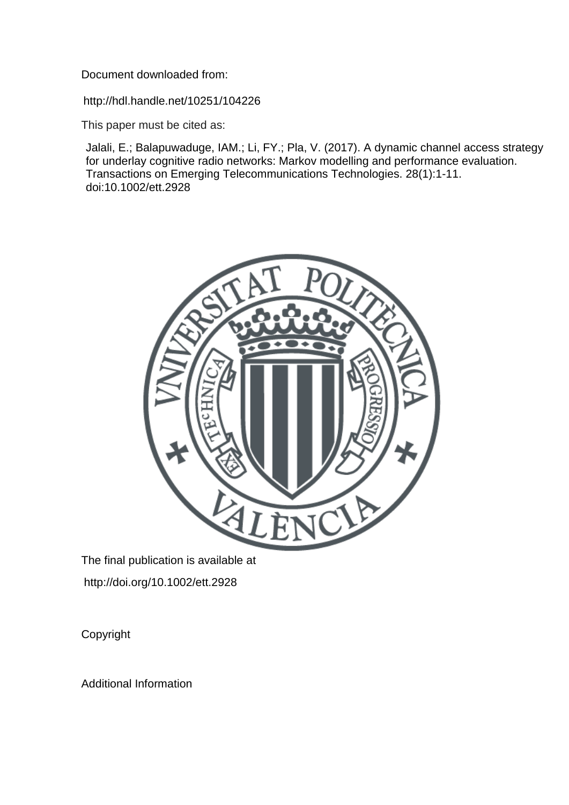Document downloaded from:

http://hdl.handle.net/10251/104226

This paper must be cited as:

Jalali, E.; Balapuwaduge, IAM.; Li, FY.; Pla, V. (2017). A dynamic channel access strategy for underlay cognitive radio networks: Markov modelling and performance evaluation. Transactions on Emerging Telecommunications Technologies. 28(1):1-11. doi:10.1002/ett.2928



The final publication is available at http://doi.org/10.1002/ett.2928

Copyright

Additional Information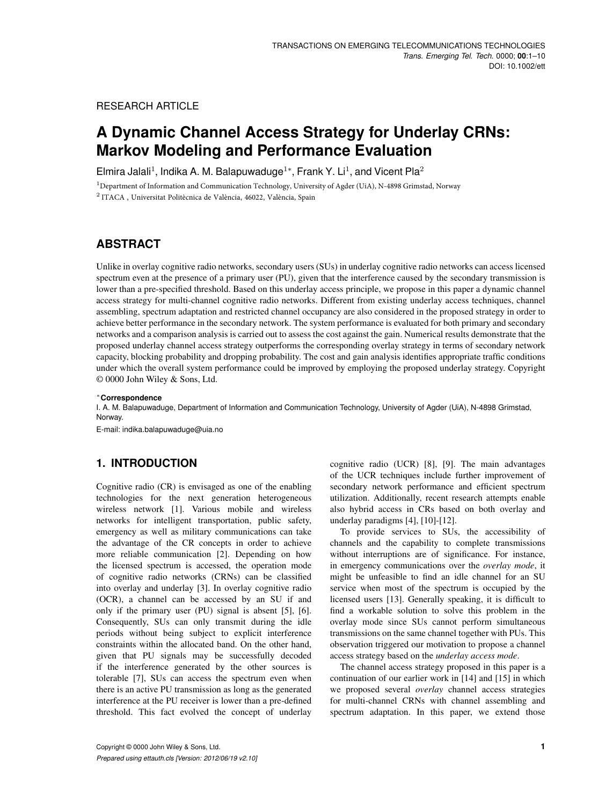# <span id="page-1-1"></span>RESEARCH ARTICLE

# **A Dynamic Channel Access Strategy for Underlay CRNs: Markov Modeling and Performance Evaluation**

Elmira Jalali<sup>1</sup>, Indika A. M. Balapuwaduge<sup>1</sup>\*, Frank Y. Li<sup>1</sup>, and Vicent Pla<sup>2</sup>

 $^1$ Department of Information and Communication Technology, University of Agder (UiA), N-4898 Grimstad, Norway 2 ITACA , Universitat Politècnica de València, 46022, València, Spain

# **ABSTRACT**

Unlike in overlay cognitive radio networks, secondary users (SUs) in underlay cognitive radio networks can access licensed spectrum even at the presence of a primary user (PU), given that the interference caused by the secondary transmission is lower than a pre-specified threshold. Based on this underlay access principle, we propose in this paper a dynamic channel access strategy for multi-channel cognitive radio networks. Different from existing underlay access techniques, channel assembling, spectrum adaptation and restricted channel occupancy are also considered in the proposed strategy in order to achieve better performance in the secondary network. The system performance is evaluated for both primary and secondary networks and a comparison analysis is carried out to assess the cost against the gain. Numerical results demonstrate that the proposed underlay channel access strategy outperforms the corresponding overlay strategy in terms of secondary network capacity, blocking probability and dropping probability. The cost and gain analysis identifies appropriate traffic conditions under which the overall system performance could be improved by employing the proposed underlay strategy. Copyright © 0000 John Wiley & Sons, Ltd.

## <sup>∗</sup>**Correspondence**

I. A. M. Balapuwaduge, Department of Information and Communication Technology, University of Agder (UiA), N-4898 Grimstad, Norway.

E-mail: indika.balapuwaduge@uia.no

# <span id="page-1-0"></span>**1. INTRODUCTION**

Cognitive radio (CR) is envisaged as one of the enabling technologies for the next generation heterogeneous wireless network [\[1\]](#page-9-0). Various mobile and wireless networks for intelligent transportation, public safety, emergency as well as military communications can take the advantage of the CR concepts in order to achieve more reliable communication [\[2\]](#page-9-1). Depending on how the licensed spectrum is accessed, the operation mode of cognitive radio networks (CRNs) can be classified into overlay and underlay [\[3\]](#page-9-2). In overlay cognitive radio (OCR), a channel can be accessed by an SU if and only if the primary user (PU) signal is absent [\[5\]](#page-9-3), [\[6\]](#page-9-4). Consequently, SUs can only transmit during the idle periods without being subject to explicit interference constraints within the allocated band. On the other hand, given that PU signals may be successfully decoded if the interference generated by the other sources is tolerable [\[7\]](#page-9-5), SUs can access the spectrum even when there is an active PU transmission as long as the generated interference at the PU receiver is lower than a pre-defined threshold. This fact evolved the concept of underlay cognitive radio (UCR) [\[8\]](#page-9-6), [\[9\]](#page-9-7). The main advantages of the UCR techniques include further improvement of secondary network performance and efficient spectrum utilization. Additionally, recent research attempts enable also hybrid access in CRs based on both overlay and underlay paradigms [\[4\]](#page-9-8), [\[10\]](#page-9-9)-[\[12\]](#page-9-10).

To provide services to SUs, the accessibility of channels and the capability to complete transmissions without interruptions are of significance. For instance, in emergency communications over the *overlay mode*, it might be unfeasible to find an idle channel for an SU service when most of the spectrum is occupied by the licensed users [\[13\]](#page-9-11). Generally speaking, it is difficult to find a workable solution to solve this problem in the overlay mode since SUs cannot perform simultaneous transmissions on the same channel together with PUs. This observation triggered our motivation to propose a channel access strategy based on the *underlay access mode*.

The channel access strategy proposed in this paper is a continuation of our earlier work in [\[14\]](#page-10-0) and [\[15\]](#page-10-1) in which we proposed several *overlay* channel access strategies for multi-channel CRNs with channel assembling and spectrum adaptation. In this paper, we extend those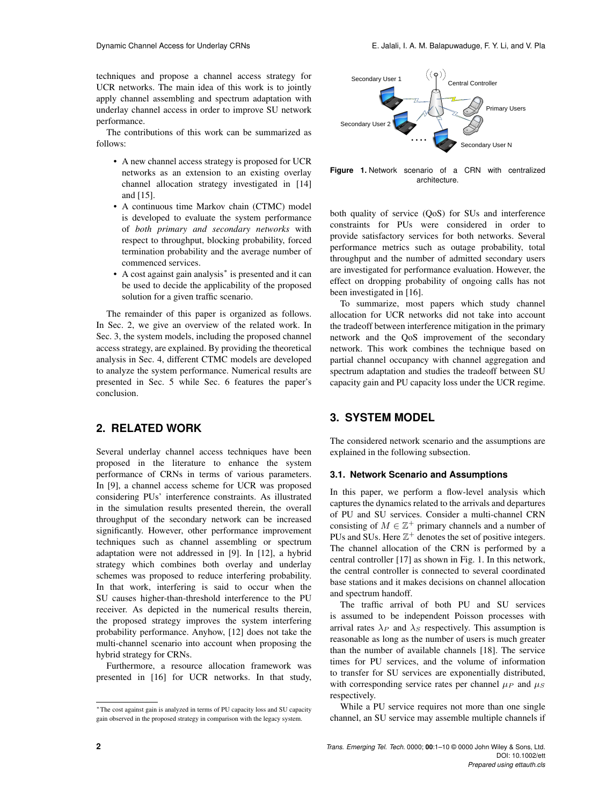techniques and propose a channel access strategy for UCR networks. The main idea of this work is to jointly apply channel assembling and spectrum adaptation with underlay channel access in order to improve SU network performance.

The contributions of this work can be summarized as follows:

- A new channel access strategy is proposed for UCR networks as an extension to an existing overlay channel allocation strategy investigated in [\[14\]](#page-10-0) and [\[15\]](#page-10-1).
- A continuous time Markov chain (CTMC) model is developed to evaluate the system performance of *both primary and secondary networks* with respect to throughput, blocking probability, forced termination probability and the average number of commenced services.
- A cost against gain analysis[∗](#page-2-0) is presented and it can be used to decide the applicability of the proposed solution for a given traffic scenario.

The remainder of this paper is organized as follows. In Sec. 2, we give an overview of the related work. In Sec. 3, the system models, including the proposed channel access strategy, are explained. By providing the theoretical analysis in Sec. 4, different CTMC models are developed to analyze the system performance. Numerical results are presented in Sec. 5 while Sec. 6 features the paper's conclusion.

## **2. RELATED WORK**

Several underlay channel access techniques have been proposed in the literature to enhance the system performance of CRNs in terms of various parameters. In [\[9\]](#page-9-7), a channel access scheme for UCR was proposed considering PUs' interference constraints. As illustrated in the simulation results presented therein, the overall throughput of the secondary network can be increased significantly. However, other performance improvement techniques such as channel assembling or spectrum adaptation were not addressed in [\[9\]](#page-9-7). In [\[12\]](#page-9-10), a hybrid strategy which combines both overlay and underlay schemes was proposed to reduce interfering probability. In that work, interfering is said to occur when the SU causes higher-than-threshold interference to the PU receiver. As depicted in the numerical results therein, the proposed strategy improves the system interfering probability performance. Anyhow, [\[12\]](#page-9-10) does not take the multi-channel scenario into account when proposing the hybrid strategy for CRNs.

Furthermore, a resource allocation framework was presented in [\[16\]](#page-10-2) for UCR networks. In that study,

<span id="page-2-1"></span>

**Figure 1.** Network scenario of a CRN with centralized architecture.

both quality of service (QoS) for SUs and interference constraints for PUs were considered in order to provide satisfactory services for both networks. Several performance metrics such as outage probability, total throughput and the number of admitted secondary users are investigated for performance evaluation. However, the effect on dropping probability of ongoing calls has not been investigated in [\[16\]](#page-10-2).

To summarize, most papers which study channel allocation for UCR networks did not take into account the tradeoff between interference mitigation in the primary network and the QoS improvement of the secondary network. This work combines the technique based on partial channel occupancy with channel aggregation and spectrum adaptation and studies the tradeoff between SU capacity gain and PU capacity loss under the UCR regime.

# **3. SYSTEM MODEL**

The considered network scenario and the assumptions are explained in the following subsection.

## **3.1. Network Scenario and Assumptions**

In this paper, we perform a flow-level analysis which captures the dynamics related to the arrivals and departures of PU and SU services. Consider a multi-channel CRN consisting of  $M \in \mathbb{Z}^+$  primary channels and a number of PUs and SUs. Here  $\mathbb{Z}^+$  denotes the set of positive integers. The channel allocation of the CRN is performed by a central controller [\[17\]](#page-10-3) as shown in Fig. [1.](#page-2-1) In this network, the central controller is connected to several coordinated base stations and it makes decisions on channel allocation and spectrum handoff.

The traffic arrival of both PU and SU services is assumed to be independent Poisson processes with arrival rates  $\lambda_P$  and  $\lambda_S$  respectively. This assumption is reasonable as long as the number of users is much greater than the number of available channels [\[18\]](#page-10-4). The service times for PU services, and the volume of information to transfer for SU services are exponentially distributed, with corresponding service rates per channel  $\mu_P$  and  $\mu_S$ respectively.

While a PU service requires not more than one single channel, an SU service may assemble multiple channels if

<span id="page-2-0"></span><sup>∗</sup>The cost against gain is analyzed in terms of PU capacity loss and SU capacity gain observed in the proposed strategy in comparison with the legacy system.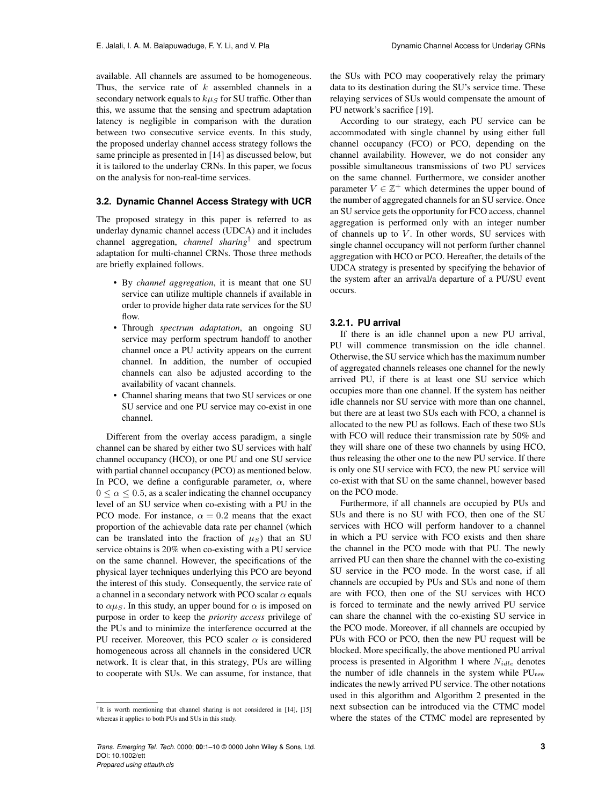available. All channels are assumed to be homogeneous. Thus, the service rate of  $k$  assembled channels in a secondary network equals to  $k\mu<sub>S</sub>$  for SU traffic. Other than this, we assume that the sensing and spectrum adaptation latency is negligible in comparison with the duration between two consecutive service events. In this study, the proposed underlay channel access strategy follows the same principle as presented in [\[14\]](#page-10-0) as discussed below, but it is tailored to the underlay CRNs. In this paper, we focus on the analysis for non-real-time services.

## **3.2. Dynamic Channel Access Strategy with UCR**

The proposed strategy in this paper is referred to as underlay dynamic channel access (UDCA) and it includes channel aggregation, *channel sharing*[†](#page-3-0) and spectrum adaptation for multi-channel CRNs. Those three methods are briefly explained follows.

- By *channel aggregation*, it is meant that one SU service can utilize multiple channels if available in order to provide higher data rate services for the SU flow.
- Through *spectrum adaptation*, an ongoing SU service may perform spectrum handoff to another channel once a PU activity appears on the current channel. In addition, the number of occupied channels can also be adjusted according to the availability of vacant channels.
- Channel sharing means that two SU services or one SU service and one PU service may co-exist in one channel.

Different from the overlay access paradigm, a single channel can be shared by either two SU services with half channel occupancy (HCO), or one PU and one SU service with partial channel occupancy (PCO) as mentioned below. In PCO, we define a configurable parameter,  $\alpha$ , where  $0 \le \alpha \le 0.5$ , as a scaler indicating the channel occupancy level of an SU service when co-existing with a PU in the PCO mode. For instance,  $\alpha = 0.2$  means that the exact proportion of the achievable data rate per channel (which can be translated into the fraction of  $\mu<sub>S</sub>$ ) that an SU service obtains is 20% when co-existing with a PU service on the same channel. However, the specifications of the physical layer techniques underlying this PCO are beyond the interest of this study. Consequently, the service rate of a channel in a secondary network with PCO scalar  $\alpha$  equals to  $\alpha \mu_S$ . In this study, an upper bound for  $\alpha$  is imposed on purpose in order to keep the *priority access* privilege of the PUs and to minimize the interference occurred at the PU receiver. Moreover, this PCO scaler  $\alpha$  is considered homogeneous across all channels in the considered UCR network. It is clear that, in this strategy, PUs are willing to cooperate with SUs. We can assume, for instance, that

the SUs with PCO may cooperatively relay the primary data to its destination during the SU's service time. These relaying services of SUs would compensate the amount of PU network's sacrifice [\[19\]](#page-10-5).

According to our strategy, each PU service can be accommodated with single channel by using either full channel occupancy (FCO) or PCO, depending on the channel availability. However, we do not consider any possible simultaneous transmissions of two PU services on the same channel. Furthermore, we consider another parameter  $V \in \mathbb{Z}^+$  which determines the upper bound of the number of aggregated channels for an SU service. Once an SU service gets the opportunity for FCO access, channel aggregation is performed only with an integer number of channels up to  $V$ . In other words, SU services with single channel occupancy will not perform further channel aggregation with HCO or PCO. Hereafter, the details of the UDCA strategy is presented by specifying the behavior of the system after an arrival/a departure of a PU/SU event occurs.

## **3.2.1. PU arrival**

If there is an idle channel upon a new PU arrival, PU will commence transmission on the idle channel. Otherwise, the SU service which has the maximum number of aggregated channels releases one channel for the newly arrived PU, if there is at least one SU service which occupies more than one channel. If the system has neither idle channels nor SU service with more than one channel, but there are at least two SUs each with FCO, a channel is allocated to the new PU as follows. Each of these two SUs with FCO will reduce their transmission rate by 50% and they will share one of these two channels by using HCO, thus releasing the other one to the new PU service. If there is only one SU service with FCO, the new PU service will co-exist with that SU on the same channel, however based on the PCO mode.

Furthermore, if all channels are occupied by PUs and SUs and there is no SU with FCO, then one of the SU services with HCO will perform handover to a channel in which a PU service with FCO exists and then share the channel in the PCO mode with that PU. The newly arrived PU can then share the channel with the co-existing SU service in the PCO mode. In the worst case, if all channels are occupied by PUs and SUs and none of them are with FCO, then one of the SU services with HCO is forced to terminate and the newly arrived PU service can share the channel with the co-existing SU service in the PCO mode. Moreover, if all channels are occupied by PUs with FCO or PCO, then the new PU request will be blocked. More specifically, the above mentioned PU arrival process is presented in Algorithm [1](#page-4-0) where  $N_{idle}$  denotes the number of idle channels in the system while PU<sub>new</sub> indicates the newly arrived PU service. The other notations used in this algorithm and Algorithm [2](#page-4-1) presented in the next subsection can be introduced via the CTMC model where the states of the CTMC model are represented by

<span id="page-3-0"></span><sup>†</sup> It is worth mentioning that channel sharing is not considered in [\[14\]](#page-10-0), [\[15\]](#page-10-1) whereas it applies to both PUs and SUs in this study.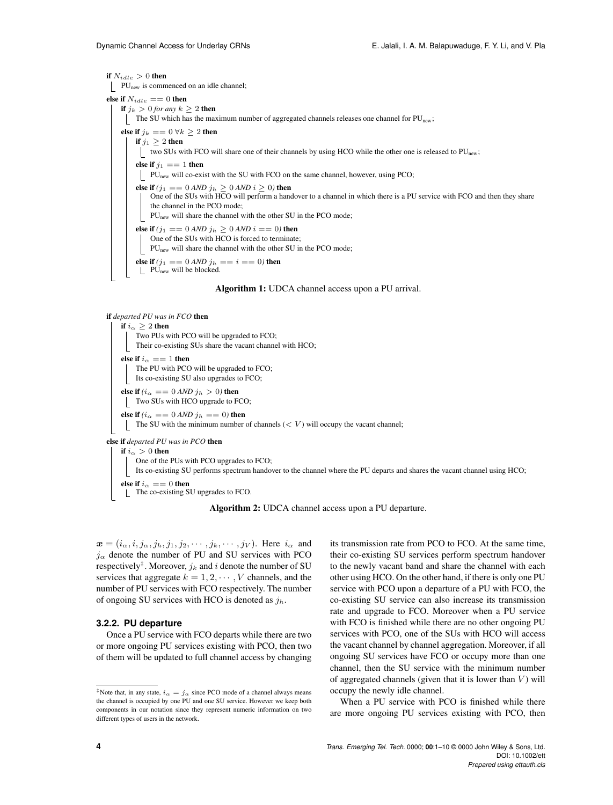<span id="page-4-0"></span>if  $N_{idle} > 0$  then | PU<sub>new</sub> is commenced on an idle channel; else if  $N_{idle} == 0$  then if  $j_k > 0$  *for any*  $k \geq 2$  then The SU which has the maximum number of aggregated channels releases one channel for  $PU_{new}$ ; else if  $j_k == 0 \; \forall k \geq 2$  then if  $j_1 \geq 2$  then two SUs with FCO will share one of their channels by using HCO while the other one is released to  $PU_{\text{new}}$ ; else if  $j_1 == 1$  then PU<sub>new</sub> will co-exist with the SU with FCO on the same channel, however, using PCO; else if  $(i_1 == 0$  *AND*  $i_b > 0$  *AND*  $i > 0$ *)* then One of the SUs with HCO will perform a handover to a channel in which there is a PU service with FCO and then they share the channel in the PCO mode; PUnew will share the channel with the other SU in the PCO mode; else if  $(j_1 == 0$  *AND*  $j_h \ge 0$  *AND*  $i == 0$ *)* then One of the SUs with HCO is forced to terminate; PUnew will share the channel with the other SU in the PCO mode; else if  $(j_1 == 0$  *AND*  $j_h == i == 0$ *)* then  $\perp$  PU<sub>new</sub> will be blocked.

Algorithm 1: UDCA channel access upon a PU arrival.

<span id="page-4-1"></span>

if  $i_{\alpha} \geq 2$  then Two PUs with PCO will be upgraded to FCO; Their co-existing SUs share the vacant channel with HCO; else if  $i_{\alpha} == 1$  then The PU with PCO will be upgraded to FCO; Its co-existing SU also upgrades to FCO; else if  $(i_\alpha == 0$  *AND*  $j_h > 0$ *)* then Two SUs with HCO upgrade to FCO; else if  $(i_{\alpha} == 0$  *AND*  $j_h == 0$ *)* then The SU with the minimum number of channels  $(< V)$  will occupy the vacant channel; else if *departed PU was in PCO* then if  $i_{\infty} > 0$  then

One of the PUs with PCO upgrades to FCO;

Its co-existing SU performs spectrum handover to the channel where the PU departs and shares the vacant channel using HCO;

else if  $i_{\alpha} == 0$  then

The co-existing SU upgrades to FCO.

Algorithm 2: UDCA channel access upon a PU departure.

 $\mathbf{x} = (i_{\alpha}, i, j_{\alpha}, j_{h}, j_{1}, j_{2}, \cdots, j_{k}, \cdots, j_{V})$ . Here  $i_{\alpha}$  and  $j_{\alpha}$  denote the number of PU and SU services with PCO respectively<sup>[‡](#page-4-2)</sup>. Moreover,  $j_k$  and  $i$  denote the number of SU services that aggregate  $k = 1, 2, \cdots, V$  channels, and the number of PU services with FCO respectively. The number of ongoing SU services with HCO is denoted as  $j_h$ .

## **3.2.2. PU departure**

Once a PU service with FCO departs while there are two or more ongoing PU services existing with PCO, then two of them will be updated to full channel access by changing

its transmission rate from PCO to FCO. At the same time, their co-existing SU services perform spectrum handover to the newly vacant band and share the channel with each other using HCO. On the other hand, if there is only one PU service with PCO upon a departure of a PU with FCO, the co-existing SU service can also increase its transmission rate and upgrade to FCO. Moreover when a PU service with FCO is finished while there are no other ongoing PU services with PCO, one of the SUs with HCO will access the vacant channel by channel aggregation. Moreover, if all ongoing SU services have FCO or occupy more than one channel, then the SU service with the minimum number of aggregated channels (given that it is lower than  $V$ ) will occupy the newly idle channel.

When a PU service with PCO is finished while there are more ongoing PU services existing with PCO, then

<span id="page-4-2"></span><sup>&</sup>lt;sup>‡</sup>Note that, in any state,  $i_{\alpha} = j_{\alpha}$  since PCO mode of a channel always means the channel is occupied by one PU and one SU service. However we keep both components in our notation since they represent numeric information on two different types of users in the network.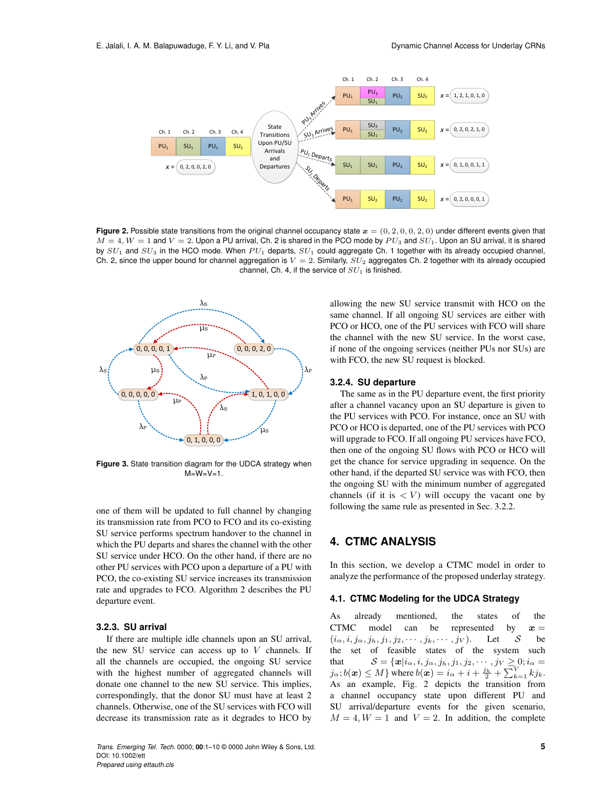<span id="page-5-0"></span>

**Figure 2.** Possible state transitions from the original channel occupancy state  $x = (0, 2, 0, 0, 2, 0)$  under different events given that  $M = 4$ ,  $W = 1$  and  $V = 2$ . Upon a PU arrival, Ch. 2 is shared in the PCO mode by  $PU_3$  and  $SU_1$ . Upon an SU arrival, it is shared by  $SU_1$  and  $SU_3$  in the HCO mode. When  $PU_1$  departs,  $SU_1$  could aggregate Ch. 1 together with its already occupied channel, Ch. 2, since the upper bound for channel aggregation is  $V = 2$ . Similarly,  $SU_2$  aggregates Ch. 2 together with its already occupied channel, Ch. 4, if the service of  $SU<sub>1</sub>$  is finished.

<span id="page-5-1"></span>

**Figure 3.** State transition diagram for the UDCA strategy when  $M=W=V=1$ 

one of them will be updated to full channel by changing its transmission rate from PCO to FCO and its co-existing SU service performs spectrum handover to the channel in which the PU departs and shares the channel with the other SU service under HCO. On the other hand, if there are no other PU services with PCO upon a departure of a PU with PCO, the co-existing SU service increases its transmission rate and upgrades to FCO. Algorithm [2](#page-4-1) describes the PU departure event.

#### **3.2.3. SU arrival**

If there are multiple idle channels upon an SU arrival, the new SU service can access up to  $V$  channels. If all the channels are occupied, the ongoing SU service with the highest number of aggregated channels will donate one channel to the new SU service. This implies, correspondingly, that the donor SU must have at least 2 channels. Otherwise, one of the SU services with FCO will decrease its transmission rate as it degrades to HCO by

*Trans. Emerging Tel. Tech.* 0000; **00**[:1](#page-1-0)[–10](#page-1-1) © 0000 John Wiley & Sons, Ltd. **5** DOI: 10.1002/ett *Prepared using ettauth.cls*

allowing the new SU service transmit with HCO on the same channel. If all ongoing SU services are either with PCO or HCO, one of the PU services with FCO will share the channel with the new SU service. In the worst case, if none of the ongoing services (neither PUs nor SUs) are with FCO, the new SU request is blocked.

## **3.2.4. SU departure**

The same as in the PU departure event, the first priority after a channel vacancy upon an SU departure is given to the PU services with PCO. For instance, once an SU with PCO or HCO is departed, one of the PU services with PCO will upgrade to FCO. If all ongoing PU services have FCO, then one of the ongoing SU flows with PCO or HCO will get the chance for service upgrading in sequence. On the other hand, if the departed SU service was with FCO, then the ongoing SU with the minimum number of aggregated channels (if it is  $\langle V \rangle$  will occupy the vacant one by following the same rule as presented in Sec. 3.2.2.

## **4. CTMC ANALYSIS**

In this section, we develop a CTMC model in order to analyze the performance of the proposed underlay strategy.

## **4.1. CTMC Modeling for the UDCA Strategy**

As already mentioned, the states of the CTMC model can be represented by  $x =$  $(i_{\alpha}, i, j_{\alpha}, j_h, j_1, j_2, \cdots, j_k, \cdots, j_V)$ . Let S be the set of feasible states of the system such that  $S = {\mathbf{x}|i_{\alpha}, i, j_{\alpha}, j_{h}, j_{1}, j_{2}, \cdots, j_{V} \geq 0; i_{\alpha} =$  $j_{\alpha};b(\boldsymbol{x})\leq M\}$  where  $b(\boldsymbol{x})=i_{\alpha}+i+\frac{j_{h}}{2}+\sum_{k=1}^{V}kj_{k}.$ As an example, Fig. [2](#page-5-0) depicts the transition from a channel occupancy state upon different PU and SU arrival/departure events for the given scenario,  $M = 4, W = 1$  and  $V = 2$ . In addition, the complete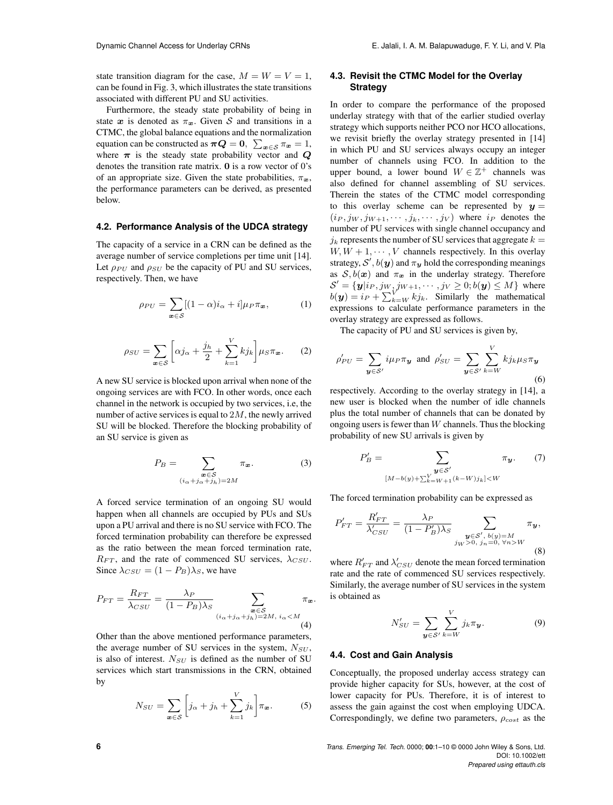state transition diagram for the case,  $M = W = V = 1$ , can be found in Fig. [3,](#page-5-1) which illustrates the state transitions associated with different PU and SU activities.

Furthermore, the steady state probability of being in state x is denoted as  $\pi_x$ . Given S and transitions in a CTMC, the global balance equations and the normalization equation can be constructed as  $\boldsymbol{\pi} \boldsymbol{Q} = \boldsymbol{0}, \ \sum_{\boldsymbol{x} \in \mathcal{S}} \pi_{\boldsymbol{x}} = 1,$ where  $\pi$  is the steady state probability vector and  $Q$ denotes the transition rate matrix. 0 is a row vector of 0's of an appropriate size. Given the state probabilities,  $\pi_x$ , the performance parameters can be derived, as presented below.

## **4.2. Performance Analysis of the UDCA strategy**

The capacity of a service in a CRN can be defined as the average number of service completions per time unit [\[14\]](#page-10-0). Let  $\rho_{PU}$  and  $\rho_{SU}$  be the capacity of PU and SU services, respectively. Then, we have

$$
\rho_{PU} = \sum_{\mathbf{x} \in \mathcal{S}} [(1-\alpha)i_{\alpha} + i] \mu_P \pi_{\mathbf{x}}, \tag{1}
$$

$$
\rho_{SU} = \sum_{\mathbf{x} \in S} \left[ \alpha j_{\alpha} + \frac{j_h}{2} + \sum_{k=1}^{V} k j_k \right] \mu_S \pi_{\mathbf{x}}.
$$
 (2)

A new SU service is blocked upon arrival when none of the ongoing services are with FCO. In other words, once each channel in the network is occupied by two services, i.e, the number of active services is equal to  $2M$ , the newly arrived SU will be blocked. Therefore the blocking probability of an SU service is given as

$$
P_B = \sum_{\substack{\boldsymbol{x} \in \mathcal{S} \\ (i_{\alpha} + j_{\alpha} + j_h) = 2M}} \pi_{\boldsymbol{x}}.
$$
 (3)

A forced service termination of an ongoing SU would happen when all channels are occupied by PUs and SUs upon a PU arrival and there is no SU service with FCO. The forced termination probability can therefore be expressed as the ratio between the mean forced termination rate,  $R_{FT}$ , and the rate of commenced SU services,  $\lambda_{CSU}$ . Since  $\lambda_{CSU} = (1 - P_B)\lambda_S$ , we have

$$
P_{FT} = \frac{R_{FT}}{\lambda_{CSU}} = \frac{\lambda_P}{(1 - P_B)\lambda_S} \sum_{\substack{\mathbf{x} \in \mathcal{S} \\ (i_{\alpha} + j_{\alpha} + j_h) = 2M, i_{\alpha} < M}} \pi_{\mathbf{x}}.
$$
\n(4)

Other than the above mentioned performance parameters, the average number of SU services in the system,  $N_{SU}$ , is also of interest.  $N_{SU}$  is defined as the number of SU services which start transmissions in the CRN, obtained by

$$
N_{SU} = \sum_{\boldsymbol{x} \in \mathcal{S}} \left[ j_{\alpha} + j_{h} + \sum_{k=1}^{V} j_{k} \right] \pi_{\boldsymbol{x}}.
$$
 (5)

## **4.3. Revisit the CTMC Model for the Overlay Strategy**

In order to compare the performance of the proposed underlay strategy with that of the earlier studied overlay strategy which supports neither PCO nor HCO allocations, we revisit briefly the overlay strategy presented in [\[14\]](#page-10-0) in which PU and SU services always occupy an integer number of channels using FCO. In addition to the upper bound, a lower bound  $W \in \mathbb{Z}^+$  channels was also defined for channel assembling of SU services. Therein the states of the CTMC model corresponding to this overlay scheme can be represented by  $y =$  $(i_P, j_W, j_{W+1}, \cdots, j_k, \cdots, j_V)$  where  $i_P$  denotes the number of PU services with single channel occupancy and  $j_k$  represents the number of SU services that aggregate  $k =$  $W, W + 1, \cdots, V$  channels respectively. In this overlay strategy,  $S'$ ,  $b(y)$  and  $\pi y$  hold the corresponding meanings as  $S, b(x)$  and  $\pi_x$  in the underlay strategy. Therefore  $\mathcal{S}' = {\bf y}|i_P, j_W, j_{W+1}, \cdots, j_V \geq 0; b({\boldsymbol y}) \leq M\}$  where  $b(\mathbf{y}) = i_P + \sum_{k=N}^{V} k j_k$ . Similarly the mathematical expressions to calculate performance parameters in the overlay strategy are expressed as follows.

The capacity of PU and SU services is given by,

$$
\rho'_{PU} = \sum_{\mathbf{y} \in \mathcal{S}'} i\mu_P \pi_{\mathbf{y}} \text{ and } \rho'_{SU} = \sum_{\mathbf{y} \in \mathcal{S}'} \sum_{k=W}^{V} k j_k \mu_S \pi_{\mathbf{y}} \tag{6}
$$

respectively. According to the overlay strategy in [\[14\]](#page-10-0), a new user is blocked when the number of idle channels plus the total number of channels that can be donated by ongoing users is fewer than  $W$  channels. Thus the blocking probability of new SU arrivals is given by

$$
P'_B = \sum_{\substack{\boldsymbol{y} \in S'\\ [M-b(y)+\sum_{k=W+1}^V(k-W)j_k] < W}} \pi_{\boldsymbol{y}}.\tag{7}
$$

The forced termination probability can be expressed as

$$
P'_{FT} = \frac{R'_{FT}}{\lambda'_{CSU}} = \frac{\lambda_P}{(1 - P'_B)\lambda_S} \sum_{\substack{\mathbf{y} \in \mathcal{S}', \ b(y) = M \\ j_W > 0, \ j_n = 0, \ \forall n > W}} \pi_{\mathbf{y}},
$$
\n(8)

where  $R'_{FT}$  and  $\lambda'_{CSU}$  denote the mean forced termination rate and the rate of commenced SU services respectively. Similarly, the average number of SU services in the system is obtained as

$$
N'_{SU} = \sum_{\mathbf{y} \in \mathcal{S}'} \sum_{k=W}^{V} j_k \pi_{\mathbf{y}}.
$$
 (9)

## **4.4. Cost and Gain Analysis**

Conceptually, the proposed underlay access strategy can provide higher capacity for SUs, however, at the cost of lower capacity for PUs. Therefore, it is of interest to assess the gain against the cost when employing UDCA. Correspondingly, we define two parameters,  $\rho_{cost}$  as the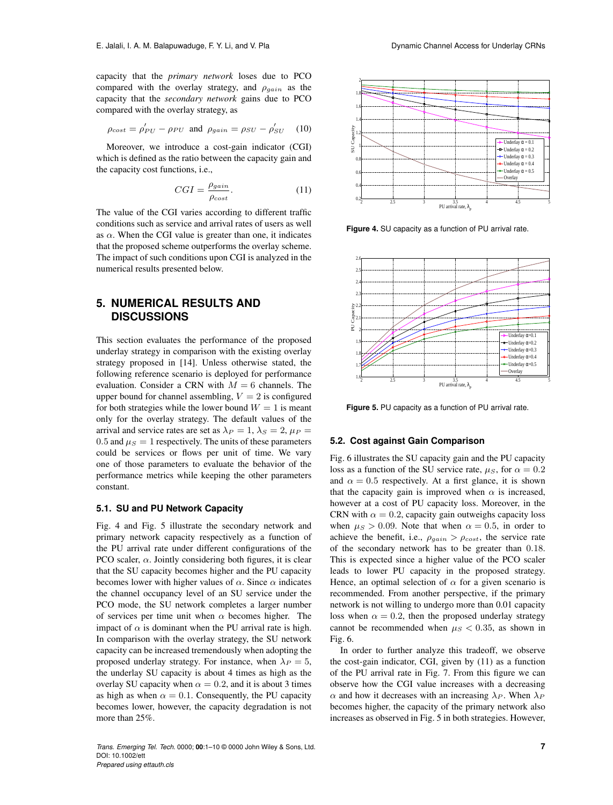capacity that the *primary network* loses due to PCO compared with the overlay strategy, and  $\rho_{gain}$  as the capacity that the *secondary network* gains due to PCO compared with the overlay strategy, as

$$
\rho_{cost} = \rho'_{PU} - \rho_{PU} \text{ and } \rho_{gain} = \rho_{SU} - \rho'_{SU} \quad (10)
$$

Moreover, we introduce a cost-gain indicator (CGI) which is defined as the ratio between the capacity gain and the capacity cost functions, i.e.,

<span id="page-7-2"></span>
$$
CGI = \frac{\rho_{gain}}{\rho_{cost}}.\tag{11}
$$

The value of the CGI varies according to different traffic conditions such as service and arrival rates of users as well as  $\alpha$ . When the CGI value is greater than one, it indicates that the proposed scheme outperforms the overlay scheme. The impact of such conditions upon CGI is analyzed in the numerical results presented below.

## **5. NUMERICAL RESULTS AND DISCUSSIONS**

This section evaluates the performance of the proposed underlay strategy in comparison with the existing overlay strategy proposed in [\[14\]](#page-10-0). Unless otherwise stated, the following reference scenario is deployed for performance evaluation. Consider a CRN with  $M = 6$  channels. The upper bound for channel assembling,  $V = 2$  is configured for both strategies while the lower bound  $W = 1$  is meant only for the overlay strategy. The default values of the arrival and service rates are set as  $\lambda_P = 1$ ,  $\lambda_S = 2$ ,  $\mu_P =$ 0.5 and  $\mu$ <sub>S</sub> = 1 respectively. The units of these parameters could be services or flows per unit of time. We vary one of those parameters to evaluate the behavior of the performance metrics while keeping the other parameters constant.

## **5.1. SU and PU Network Capacity**

Fig. [4](#page-7-0) and Fig. [5](#page-7-1) illustrate the secondary network and primary network capacity respectively as a function of the PU arrival rate under different configurations of the PCO scaler,  $\alpha$ . Jointly considering both figures, it is clear that the SU capacity becomes higher and the PU capacity becomes lower with higher values of  $\alpha$ . Since  $\alpha$  indicates the channel occupancy level of an SU service under the PCO mode, the SU network completes a larger number of services per time unit when  $\alpha$  becomes higher. The impact of  $\alpha$  is dominant when the PU arrival rate is high. In comparison with the overlay strategy, the SU network capacity can be increased tremendously when adopting the proposed underlay strategy. For instance, when  $\lambda_P = 5$ , the underlay SU capacity is about 4 times as high as the overlay SU capacity when  $\alpha = 0.2$ , and it is about 3 times as high as when  $\alpha = 0.1$ . Consequently, the PU capacity becomes lower, however, the capacity degradation is not more than 25%.

<span id="page-7-0"></span>

**Figure 4.** SU capacity as a function of PU arrival rate.

<span id="page-7-1"></span>

**Figure 5.** PU capacity as a function of PU arrival rate.

## **5.2. Cost against Gain Comparison**

Fig. [6](#page-8-0) illustrates the SU capacity gain and the PU capacity loss as a function of the SU service rate,  $\mu_S$ , for  $\alpha = 0.2$ and  $\alpha = 0.5$  respectively. At a first glance, it is shown that the capacity gain is improved when  $\alpha$  is increased, however at a cost of PU capacity loss. Moreover, in the CRN with  $\alpha = 0.2$ , capacity gain outweighs capacity loss when  $\mu$ <sub>S</sub> > 0.09. Note that when  $\alpha$  = 0.5, in order to achieve the benefit, i.e.,  $\rho_{gain} > \rho_{cost}$ , the service rate of the secondary network has to be greater than 0.18. This is expected since a higher value of the PCO scaler leads to lower PU capacity in the proposed strategy. Hence, an optimal selection of  $\alpha$  for a given scenario is recommended. From another perspective, if the primary network is not willing to undergo more than 0.01 capacity loss when  $\alpha = 0.2$ , then the proposed underlay strategy cannot be recommended when  $\mu<sub>S</sub> < 0.35$ , as shown in Fig. [6.](#page-8-0)

In order to further analyze this tradeoff, we observe the cost-gain indicator, CGI, given by [\(11\)](#page-7-2) as a function of the PU arrival rate in Fig. [7.](#page-8-1) From this figure we can observe how the CGI value increases with a decreasing  $\alpha$  and how it decreases with an increasing  $\lambda_P$ . When  $\lambda_P$ becomes higher, the capacity of the primary network also increases as observed in Fig. [5](#page-7-1) in both strategies. However,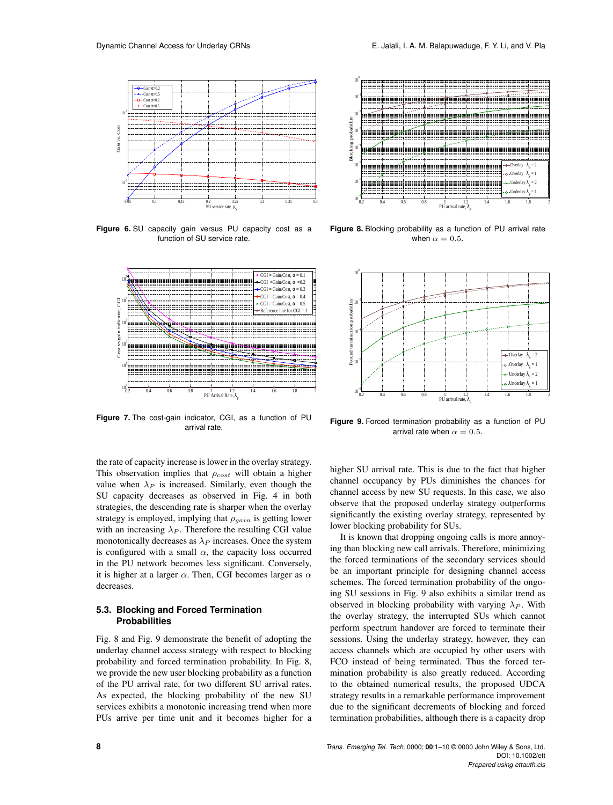<span id="page-8-0"></span>

**Figure 6.** SU capacity gain versus PU capacity cost as a function of SU service rate.

<span id="page-8-1"></span>

<span id="page-8-2"></span>0.2 0.4 0.6 0.8  $\frac{1}{12}$  1.4 1.6 1.8 2  $10^{−7}$  $10^{-6}$  $10^{-5}$ <sub> $\blacksquare$ </sub>  $10^{-4}$ <sup>10</sup>−3 <sup>10</sup>−2  $10^{-1}$ <sub>1</sub>  $10^{0}$   $\blacksquare$ **Blocking** Overlay  $\lambda_{\rm e} = 2$ Overlay  $\lambda_{\rm S} = 1$ Underlay  $\lambda_{\rm S} = 2$ Underlay λ S = 1

**Figure 8.** Blocking probability as a function of PU arrival rate when  $\alpha = 0.5$ .

P

<span id="page-8-3"></span>

**Figure 7.** The cost-gain indicator, CGI, as a function of PU arrival rate.

**Figure 9.** Forced termination probability as a function of PU arrival rate when  $\alpha = 0.5$ .

the rate of capacity increase is lower in the overlay strategy. This observation implies that  $\rho_{cost}$  will obtain a higher value when  $\lambda_P$  is increased. Similarly, even though the SU capacity decreases as observed in Fig. [4](#page-7-0) in both strategies, the descending rate is sharper when the overlay strategy is employed, implying that  $\rho_{gain}$  is getting lower with an increasing  $\lambda_P$ . Therefore the resulting CGI value monotonically decreases as  $\lambda_P$  increases. Once the system is configured with a small  $\alpha$ , the capacity loss occurred in the PU network becomes less significant. Conversely, it is higher at a larger  $\alpha$ . Then, CGI becomes larger as  $\alpha$ decreases.

## **5.3. Blocking and Forced Termination Probabilities**

Fig. [8](#page-8-2) and Fig. [9](#page-8-3) demonstrate the benefit of adopting the underlay channel access strategy with respect to blocking probability and forced termination probability. In Fig. [8,](#page-8-2) we provide the new user blocking probability as a function of the PU arrival rate, for two different SU arrival rates. As expected, the blocking probability of the new SU services exhibits a monotonic increasing trend when more PUs arrive per time unit and it becomes higher for a higher SU arrival rate. This is due to the fact that higher channel occupancy by PUs diminishes the chances for channel access by new SU requests. In this case, we also observe that the proposed underlay strategy outperforms significantly the existing overlay strategy, represented by lower blocking probability for SUs.

It is known that dropping ongoing calls is more annoying than blocking new call arrivals. Therefore, minimizing the forced terminations of the secondary services should be an important principle for designing channel access schemes. The forced termination probability of the ongoing SU sessions in Fig. [9](#page-8-3) also exhibits a similar trend as observed in blocking probability with varying  $\lambda_P$ . With the overlay strategy, the interrupted SUs which cannot perform spectrum handover are forced to terminate their sessions. Using the underlay strategy, however, they can access channels which are occupied by other users with FCO instead of being terminated. Thus the forced termination probability is also greatly reduced. According to the obtained numerical results, the proposed UDCA strategy results in a remarkable performance improvement due to the significant decrements of blocking and forced termination probabilities, although there is a capacity drop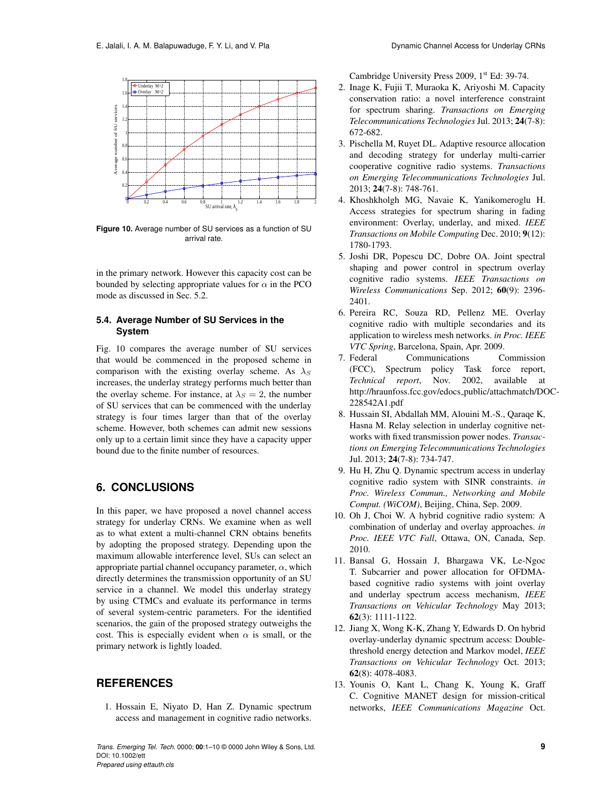<span id="page-9-12"></span>

**Figure 10.** Average number of SU services as a function of SU arrival rate.

in the primary network. However this capacity cost can be bounded by selecting appropriate values for  $\alpha$  in the PCO mode as discussed in Sec. 5.2.

## **5.4. Average Number of SU Services in the System**

Fig. [10](#page-9-12) compares the average number of SU services that would be commenced in the proposed scheme in comparison with the existing overlay scheme. As  $\lambda_S$ increases, the underlay strategy performs much better than the overlay scheme. For instance, at  $\lambda_s = 2$ , the number of SU services that can be commenced with the underlay strategy is four times larger than that of the overlay scheme. However, both schemes can admit new sessions only up to a certain limit since they have a capacity upper bound due to the finite number of resources.

# **6. CONCLUSIONS**

In this paper, we have proposed a novel channel access strategy for underlay CRNs. We examine when as well as to what extent a multi-channel CRN obtains benefits by adopting the proposed strategy. Depending upon the maximum allowable interference level, SUs can select an appropriate partial channel occupancy parameter,  $\alpha$ , which directly determines the transmission opportunity of an SU service in a channel. We model this underlay strategy by using CTMCs and evaluate its performance in terms of several system-centric parameters. For the identified scenarios, the gain of the proposed strategy outweighs the cost. This is especially evident when  $\alpha$  is small, or the primary network is lightly loaded.

# **REFERENCES**

<span id="page-9-0"></span>1. Hossain E, Niyato D, Han Z. Dynamic spectrum access and management in cognitive radio networks.

Cambridge University Press 2009, 1st Ed: 39-74.

- <span id="page-9-1"></span>2. Inage K, Fujii T, Muraoka K, Ariyoshi M. Capacity conservation ratio: a novel interference constraint for spectrum sharing. *Transactions on Emerging Telecommunications Technologies* Jul. 2013; 24(7-8): 672-682.
- <span id="page-9-2"></span>3. Pischella M, Ruyet DL. Adaptive resource allocation and decoding strategy for underlay multi-carrier cooperative cognitive radio systems. *Transactions on Emerging Telecommunications Technologies* Jul. 2013; 24(7-8): 748-761.
- <span id="page-9-8"></span>4. Khoshkholgh MG, Navaie K, Yanikomeroglu H. Access strategies for spectrum sharing in fading environment: Overlay, underlay, and mixed. *IEEE Transactions on Mobile Computing* Dec. 2010; 9(12): 1780-1793.
- <span id="page-9-3"></span>5. Joshi DR, Popescu DC, Dobre OA. Joint spectral shaping and power control in spectrum overlay cognitive radio systems. *IEEE Transactions on Wireless Communications* Sep. 2012; 60(9): 2396- 2401.
- <span id="page-9-4"></span>6. Pereira RC, Souza RD, Pellenz ME. Overlay cognitive radio with multiple secondaries and its application to wireless mesh networks. *in Proc. IEEE VTC Spring*, Barcelona, Spain, Apr. 2009.
- <span id="page-9-5"></span>7. Federal Communications Commission (FCC), Spectrum policy Task force report, *Technical report*, Nov. 2002, available at http://hraunfoss.fcc.gov/edocs\_public/attachmatch/DOC-228542A1.pdf
- <span id="page-9-6"></span>8. Hussain SI, Abdallah MM, Alouini M.-S., Qaraqe K, Hasna M. Relay selection in underlay cognitive networks with fixed transmission power nodes. *Transactions on Emerging Telecommunications Technologies* Jul. 2013; 24(7-8): 734-747.
- <span id="page-9-7"></span>9. Hu H, Zhu Q. Dynamic spectrum access in underlay cognitive radio system with SINR constraints. *in Proc. Wireless Commun., Networking and Mobile Comput. (WiCOM)*, Beijing, China, Sep. 2009.
- <span id="page-9-9"></span>10. Oh J, Choi W. A hybrid cognitive radio system: A combination of underlay and overlay approaches. *in Proc. IEEE VTC Fall*, Ottawa, ON, Canada, Sep. 2010.
- 11. Bansal G, Hossain J, Bhargawa VK, Le-Ngoc T. Subcarrier and power allocation for OFDMAbased cognitive radio systems with joint overlay and underlay spectrum access mechanism, *IEEE Transactions on Vehicular Technology* May 2013; 62(3): 1111-1122.
- <span id="page-9-10"></span>12. Jiang X, Wong K-K, Zhang Y, Edwards D. On hybrid overlay-underlay dynamic spectrum access: Doublethreshold energy detection and Markov model, *IEEE Transactions on Vehicular Technology* Oct. 2013; 62(8): 4078-4083.
- <span id="page-9-11"></span>13. Younis O, Kant L, Chang K, Young K, Graff C. Cognitive MANET design for mission-critical networks, *IEEE Communications Magazine* Oct.